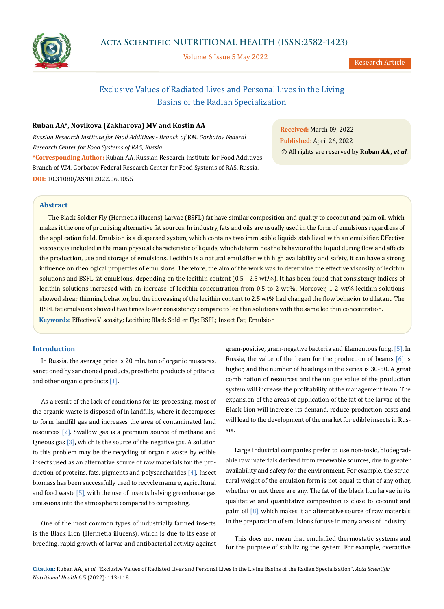

Volume 6 Issue 5 May 2022

Research Article

# Exclusive Values of Radiated Lives and Personal Lives in the Living Basins of the Radian Specialization

## **Ruban AA\*, Novikova (Zakharova) MV and Kostin AA**

*Russian Research Institute for Food Additives - Branch of V.M. Gorbatov Federal Research Center for Food Systems of RAS, Russia* **\*Corresponding Author:** Ruban AA, Russian Research Institute for Food Additives - Branch of V.M. Gorbatov Federal Research Center for Food Systems of RAS, Russia. **DOI:** [10.31080/ASNH.2022.06.1055](https://actascientific.com/ASNH/pdf/ASNH-06-1055.pdf)

**Received:** March 09, 2022 **Published:** April 26, 2022 © All rights are reserved by **Ruban AA***., et al.*

## **Abstract**

**Keywords:** Effective Viscosity; Lecithin; Black Soldier Fly; BSFL; Insect Fat; Emulsion The Black Soldier Fly (Hermetia illucens) Larvae (BSFL) fat have similar composition and quality to coconut and palm oil, which makes it the one of promising alternative fat sources. In industry, fats and oils are usually used in the form of emulsions regardless of the application field. Emulsion is a dispersed system, which contains two immiscible liquids stabilized with an emulsifier. Effective viscosity is included in the main physical characteristic of liquids, which determines the behavior of the liquid during flow and affects the production, use and storage of emulsions. Lecithin is a natural emulsifier with high availability and safety, it can have a strong influence on rheological properties of emulsions. Therefore, the aim of the work was to determine the effective viscosity of lecithin solutions and BSFL fat emulsions, depending on the lecithin content (0.5 - 2.5 wt.%). It has been found that consistency indices of lecithin solutions increased with an increase of lecithin concentration from 0.5 to 2 wt.%. Moreover, 1-2 wt% lecithin solutions showed shear thinning behavior, but the increasing of the lecithin content to 2.5 wt% had changed the flow behavior to dilatant. The BSFL fat emulsions showed two times lower consistency compare to lecithin solutions with the same lecithin concentration.

## **Introduction**

In Russia, the average price is 20 mln. ton of organic muscaras, sanctioned by sanctioned products, prosthetic products of pittance and other organic products [1].

As a result of the lack of conditions for its processing, most of the organic waste is disposed of in landfills, where it decomposes to form landfill gas and increases the area of contaminated land resources [2]. Swallow gas is a premium source of methane and igneous gas  $[3]$ , which is the source of the negative gas. A solution to this problem may be the recycling of organic waste by edible insects used as an alternative source of raw materials for the production of proteins, fats, pigments and polysaccharides [4]. Insect biomass has been successfully used to recycle manure, agricultural and food waste  $[5]$ , with the use of insects halving greenhouse gas emissions into the atmosphere compared to composting.

One of the most common types of industrially farmed insects is the Black Lion (Hermetia illucens), which is due to its ease of breeding, rapid growth of larvae and antibacterial activity against gram-positive, gram-negative bacteria and filamentous fungi [5]. In Russia, the value of the beam for the production of beams [6] is higher, and the number of headings in the series is 30-50. A great combination of resources and the unique value of the production system will increase the profitability of the management team. The expansion of the areas of application of the fat of the larvae of the Black Lion will increase its demand, reduce production costs and will lead to the development of the market for edible insects in Russia.

Large industrial companies prefer to use non-toxic, biodegradable raw materials derived from renewable sources, due to greater availability and safety for the environment. For example, the structural weight of the emulsion form is not equal to that of any other, whether or not there are any. The fat of the black lion larvae in its qualitative and quantitative composition is close to coconut and palm oil  $[8]$ , which makes it an alternative source of raw materials in the preparation of emulsions for use in many areas of industry.

This does not mean that emulsified thermostatic systems and for the purpose of stabilizing the system. For example, overactive

**Citation:** Ruban AA*., et al.* "Exclusive Values of Radiated Lives and Personal Lives in the Living Basins of the Radian Specialization". *Acta Scientific Nutritional Health* 6.5 (2022): 113-118.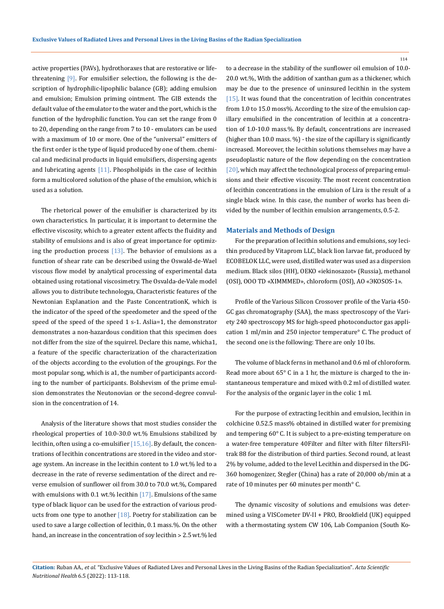active properties (PAVs), hydrothoraxes that are restorative or lifethreatening [9]. For emulsifier selection, the following is the description of hydrophilic-lipophilic balance (GB); adding emulsion and emulsion; Emulsion priming ointment. The GIB extends the default value of the emulator to the water and the port, which is the function of the hydrophilic function. You can set the range from 0 to 20, depending on the range from 7 to 10 - emulators can be used with a maximum of 10 or more. One of the "universal" emitters of the first order is the type of liquid produced by one of them. chemical and medicinal products in liquid emulsifiers, dispersing agents and lubricating agents  $[11]$ . Phospholipids in the case of lecithin form a multicolored solution of the phase of the emulsion, which is used as a solution.

The rhetorical power of the emulsifier is characterized by its own characteristics. In particular, it is important to determine the effective viscosity, which to a greater extent affects the fluidity and stability of emulsions and is also of great importance for optimizing the production process  $[13]$ . The behavior of emulsions as a function of shear rate can be described using the Oswald-de-Wael viscous flow model by analytical processing of experimental data obtained using rotational viscosimetry. The Osvalda-de-Vale model allows you to distribute technologya, Characteristic features of the Newtonian Explanation and the Paste ConcentrationK, which is the indicator of the speed of the speedometer and the speed of the speed of the speed of the speed 1 s-1. Aslia=1, the demonstrator demonstrates a non-hazardous condition that this specimen does not differ from the size of the squirrel. Declare this name, whicha1, a feature of the specific characterization of the characterization of the objects according to the evolution of the groupings. For the most popular song, which is a1, the number of participants according to the number of participants. Bolshevism of the prime emulsion demonstrates the Neutonovian or the second-degree convulsion in the concentration of 14.

Analysis of the literature shows that most studies consider the rheological properties of 10.0-30.0 wt.% Emulsions stabilized by lecithin, often using a co-emulsifier  $[15,16]$ . By default, the concentrations of lecithin concentrations are stored in the video and storage system. An increase in the lecithin content to 1.0 wt.% led to a decrease in the rate of reverse sedimentation of the direct and reverse emulsion of sunflower oil from 30.0 to 70.0 wt.%, Compared with emulsions with 0.1 wt.% lecithin  $[17]$ . Emulsions of the same type of black liquor can be used for the extraction of various products from one type to another  $[18]$ . Poetry for stabilization can be used to save a large collection of lecithin, 0.1 mass.%. On the other hand, an increase in the concentration of soy lecithin > 2.5 wt.% led to a decrease in the stability of the sunflower oil emulsion of 10.0- 20.0 wt.%, With the addition of xanthan gum as a thickener, which may be due to the presence of uninsured lecithin in the system [15]. It was found that the concentration of lecithin concentrates from 1.0 to 15.0 moss%. According to the size of the emulsion capillary emulsified in the concentration of lecithin at a concentration of 1.0-10.0 mass.%. By default, concentrations are increased (higher than 10.0 mass. %) - the size of the capillary is significantly increased. Moreover, the lecithin solutions themselves may have a pseudoplastic nature of the flow depending on the concentration [20], which may affect the technological process of preparing emulsions and their effective viscosity. The most recent concentration of lecithin concentrations in the emulsion of Lira is the result of a single black wine. In this case, the number of works has been divided by the number of lecithin emulsion arrangements, 0.5-2.

#### **Materials and Methods of Design**

For the preparation of lecithin solutions and emulsions, soy lecithin produced by Vitaprom LLC, black lion larvae fat, produced by ECOBELOK LLC, were used, distilled water was used as a dispersion medium. Black silos (HH), OEKO «iekinosazot» (Russia), methanol (OSI), OOO TD «ХIMMMЕD», chloroform (OSI), AO «ЭKOSOS-1».

Profile of the Various Silicon Crossover profile of the Varia 450- GC gas chromatography (SAA), the mass spectroscopy of the Variety 240 spectroscopy MS for high-speed photoconductor gas application 1 ml/min and 250 injector temperature° С. The product of the second one is the following: There are only 10 lbs.

The volume of black ferns in methanol and 0.6 ml of chloroform. Read more about 65° С in a 1 hr, the mixture is charged to the instantaneous temperature and mixed with 0.2 ml of distilled water. For the analysis of the organic layer in the colic 1 ml.

For the purpose of extracting lecithin and emulsion, lecithin in colchicine 0.52.5 mass% obtained in distilled water for premixing and tempering 60° С. It is subject to a pre-existing temperature on a water-free temperature 40Filter and filter with filter filtersFiltrak 88 for the distribution of third parties. Second round, at least 2% by volume, added to the level Lecithin and dispersed in the DG-360 homogenizer, Stegler (China) has a rate of 20,000 ob/min at a rate of 10 minutes per 60 minutes per month° С.

The dynamic viscosity of solutions and emulsions was determined using a VISCometer DV-II + PRO, Brookfield (UK) equipped with a thermostating system CW 106, Lab Companion (South Ko-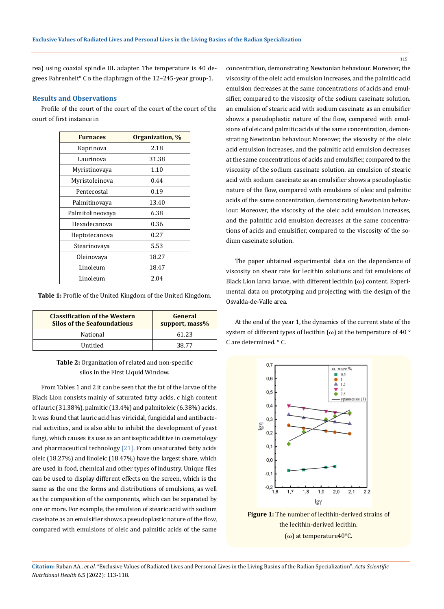rea) using coaxial spindle UL adapter. The temperature is 40 degrees Fahrenheit° С в the diaphragm of the 12–245-year group-1.

## **Results and Observations**

Profile of the court of the court of the court of the court of the court of first instance in

| <b>Furnaces</b>  | Organization, % |
|------------------|-----------------|
| Kaprinova        | 2.18            |
| Laurinova        | 31.38           |
| Myristinovaya    | 1.10            |
| Myristoleinova   | 0.44            |
| Pentecostal      | 0.19            |
| Palmitinovava    | 13.40           |
| Palmitolineovaya | 6.38            |
| Hexadecanova     | 0.36            |
| Heptotecanova    | 0.27            |
| Stearinovava     | 5.53            |
| Oleinovaya       | 18.27           |
| Linoleum         | 18.47           |
| Linoleum         | 2.04            |

**Table 1:** Profile of the United Kingdom of the United Kingdom.

| <b>Classification of the Western</b><br><b>Silos of the Seafoundations</b> | General<br>support, mass% |
|----------------------------------------------------------------------------|---------------------------|
| National                                                                   | 61.23                     |
| <b>Untitled</b>                                                            | 38.77                     |

## **Table 2:** Organization of related and non-specific silos in the First Liquid Window.

From Tables 1 and 2 it can be seen that the fat of the larvae of the Black Lion consists mainly of saturated fatty acids, c high content of lauric (31.38%), palmitic (13.4%) and palmitoleic (6.38%) acids. It was found that lauric acid has viricidal, fungicidal and antibacterial activities, and is also able to inhibit the development of yeast fungi, which causes its use as an antiseptic additive in cosmetology and pharmaceutical technology  $[21]$ . From unsaturated fatty acids oleic (18.27%) and linoleic (18.47%) have the largest share, which are used in food, chemical and other types of industry. Unique files can be used to display different effects on the screen, which is the same as the one the forms and distributions of emulsions, as well as the composition of the components, which can be separated by one or more. For example, the emulsion of stearic acid with sodium caseinate as an emulsifier shows a pseudoplastic nature of the flow, compared with emulsions of oleic and palmitic acids of the same concentration, demonstrating Newtonian behaviour. Moreover, the viscosity of the oleic acid emulsion increases, and the palmitic acid emulsion decreases at the same concentrations of acids and emulsifier, compared to the viscosity of the sodium caseinate solution. an emulsion of stearic acid with sodium caseinate as an emulsifier shows a pseudoplastic nature of the flow, compared with emulsions of oleic and palmitic acids of the same concentration, demonstrating Newtonian behaviour. Moreover, the viscosity of the oleic acid emulsion increases, and the palmitic acid emulsion decreases at the same concentrations of acids and emulsifier, compared to the viscosity of the sodium caseinate solution. an emulsion of stearic acid with sodium caseinate as an emulsifier shows a pseudoplastic nature of the flow, compared with emulsions of oleic and palmitic acids of the same concentration, demonstrating Newtonian behaviour. Moreover, the viscosity of the oleic acid emulsion increases, and the palmitic acid emulsion decreases at the same concentrations of acids and emulsifier, compared to the viscosity of the sodium caseinate solution.

The paper obtained experimental data on the dependence of viscosity on shear rate for lecithin solutions and fat emulsions of Black Lion larva larvae, with different lecithin  $(\omega)$  content. Experimental data on prototyping and projecting with the design of the Osvalda-de-Valle area.

At the end of the year 1, the dynamics of the current state of the system of different types of lecithin ( $\omega$ ) at the temperature of 40 ° C are determined. ° С.



**Figure 1:** The number of lecithin-derived strains of the lecithin-derived lecithin. (ω) at temperature40°C.

**Citation:** Ruban AA*., et al.* "Exclusive Values of Radiated Lives and Personal Lives in the Living Basins of the Radian Specialization". *Acta Scientific Nutritional Health* 6.5 (2022): 113-118.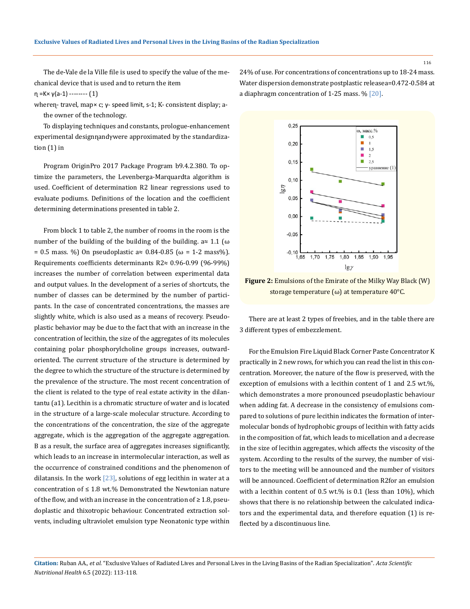The de-Vale de la Ville file is used to specify the value of the mechanical device that is used and to return the item

 $η = K × γ(a-1)$  -------- (1)

wheren - travel, map× c; γ - speed limit, s-1; K - consistent display; a the owner of the technology.

To displaying techniques and constants, prologue-enhancement experimental designnandγwere approximated by the standardization (1) in

Program OriginPro 2017 Package Program b9.4.2.380. To optimize the parameters, the Levenberga-Marquardta algorithm is used. Coefficient of determination R2 linear regressions used to evaluate podiums. Definitions of the location and the coefficient determining determinations presented in table 2.

From block 1 to table 2, the number of rooms in the room is the number of the building of the building of the building.  $a \approx 1.1$  ( $\omega$ ) = 0.5 mass. %) On pseudoplastic a≈ 0.84-0.85 (ω = 1-2 mass%). Requirements coefficients determinants R2≈ 0.96-0.99 (96-99%) increases the number of correlation between experimental data and output values. In the development of a series of shortcuts, the number of classes can be determined by the number of participants. In the case of concentrated concentrations, the masses are slightly white, which is also used as a means of recovery. Pseudoplastic behavior may be due to the fact that with an increase in the concentration of lecithin, the size of the aggregates of its molecules containing polar phosphorylcholine groups increases, outwardoriented. The current structure of the structure is determined by the degree to which the structure of the structure is determined by the prevalence of the structure. The most recent concentration of the client is related to the type of real estate activity in the dilantantu (a1). Lecithin is a chromatic structure of water and is located in the structure of a large-scale molecular structure. According to the concentrations of the concentration, the size of the aggregate aggregate, which is the aggregation of the aggregate aggregation. В as a result, the surface area of aggregates increases significantly, which leads to an increase in intermolecular interaction, as well as the occurrence of constrained conditions and the phenomenon of dilatansis. In the work  $[23]$ , solutions of egg lecithin in water at a concentration of  $\leq 1.8$  wt.% Demonstrated the Newtonian nature of the flow, and with an increase in the concentration of  $\geq 1.8$ , pseudoplastic and thixotropic behaviour. Concentrated extraction solvents, including ultraviolet emulsion type Neonatonic type within

24% of use. For concentrations of concentrations up to 18-24 mass. Water dispersion demonstrate postplastic releasea=0.472-0.584 at a diaphragm concentration of 1-25 mass. % [20].



**Figure 2:** Emulsions of the Emirate of the Milky Way Black (W) storage temperature (ω) at temperature 40°C.

There are at least 2 types of freebies, and in the table there are 3 different types of embezzlement.

For the Emulsion Fire Liquid Black Corner Paste Concentrator K practically in 2 new rows, for which you can read the list in this concentration. Moreover, the nature of the flow is preserved, with the exception of emulsions with a lecithin content of 1 and 2.5 wt.%, which demonstrates a more pronounced pseudoplastic behaviour when adding fat. A decrease in the consistency of emulsions compared to solutions of pure lecithin indicates the formation of intermolecular bonds of hydrophobic groups of lecithin with fatty acids in the composition of fat, which leads to micellation and a decrease in the size of lecithin aggregates, which affects the viscosity of the system. According to the results of the survey, the number of visitors to the meeting will be announced and the number of visitors will be announced. Coefficient of determination R2for an emulsion with a lecithin content of 0.5 wt.% is 0.1 (less than 10%), which shows that there is no relationship between the calculated indicators and the experimental data, and therefore equation (1) is reflected by a discontinuous line.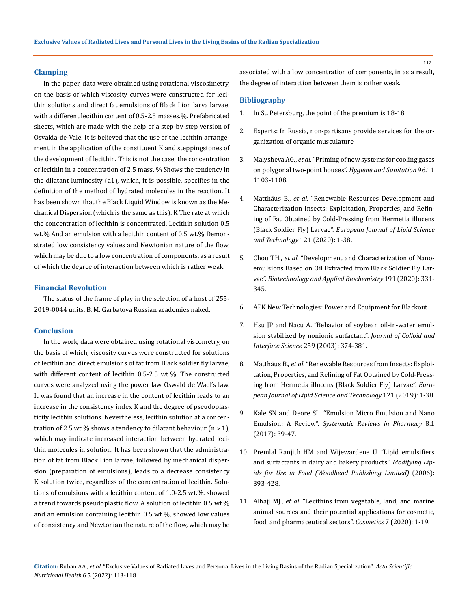## **Clamping**

In the paper, data were obtained using rotational viscosimetry, on the basis of which viscosity curves were constructed for lecithin solutions and direct fat emulsions of Black Lion larva larvae, with a different lecithin content of 0.5-2.5 masses.%. Prefabricated sheets, which are made with the help of a step-by-step version of Osvalda-de-Vale. It is believed that the use of the lecithin arrangement in the application of the constituent K and steppingstones of the development of lecithin. This is not the case, the concentration of lecithin in a concentration of 2.5 mass. % Shows the tendency in the dilatant luminosity (a1), which, it is possible, specifies in the definition of the method of hydrated molecules in the reaction. It has been shown that the Black Liquid Window is known as the Mechanical Dispersion (which is the same as this). K The rate at which the concentration of lecithin is concentrated. Lecithin solution 0.5 wt.% And an emulsion with a lecithin content of 0.5 wt.% Demonstrated low consistency values and Newtonian nature of the flow, which may be due to a low concentration of components, as a result of which the degree of interaction between which is rather weak.

## **Financial Revolution**

The status of the frame of play in the selection of a host of 255- 2019-0044 units. В. М. Garbatova Russian academies naked.

### **Conclusion**

In the work, data were obtained using rotational viscometry, on the basis of which, viscosity curves were constructed for solutions of lecithin and direct emulsions of fat from Black soldier fly larvae, with different content of lecithin 0.5-2.5 wt.%. The constructed curves were analyzed using the power law Oswald de Wael's law. It was found that an increase in the content of lecithin leads to an increase in the consistency index K and the degree of pseudoplasticity lecithin solutions. Nevertheless, lecithin solution at a concentration of 2.5 wt.% shows a tendency to dilatant behaviour  $(n > 1)$ , which may indicate increased interaction between hydrated lecithin molecules in solution. It has been shown that the administration of fat from Black Lion larvae, followed by mechanical dispersion (preparation of emulsions), leads to a decrease consistency K solution twice, regardless of the concentration of lecithin. Solutions of emulsions with a lecithin content of 1.0-2.5 wt.%. showed a trend towards pseudoplastic flow. A solution of lecithin 0.5 wt.% and an emulsion containing lecithin 0.5 wt.%, showed low values of consistency and Newtonian the nature of the flow, which may be

associated with a low concentration of components, in as a result, the degree of interaction between them is rather weak.

### **Bibliography**

- 1. In St. Petersburg, the point of the premium is 18-18
- 2. Experts: In Russia, non-partisans provide services for the organization of organic musculature
- 3. Malysheva AG., *et al*. "Priming of new systems for cooling gases on polygonal two-point houses". *Hygiene and Sanitation* 96.11 1103-1108.
- 4. Matthäus B., *et al*[. "Renewable Resources Development and](https://onlinelibrary.wiley.com/doi/abs/10.1002/ejlt.201800376)  [Characterization Insects: Exploitation, Properties, and Refin](https://onlinelibrary.wiley.com/doi/abs/10.1002/ejlt.201800376)[ing of Fat Obtained by Cold-Pressing from Hermetia illucens](https://onlinelibrary.wiley.com/doi/abs/10.1002/ejlt.201800376)  (Black Soldier Fly) Larvae". *[European Journal of Lipid Science](https://onlinelibrary.wiley.com/doi/abs/10.1002/ejlt.201800376)  and Technology* [121 \(2020\): 1-38.](https://onlinelibrary.wiley.com/doi/abs/10.1002/ejlt.201800376)
- 5. Chou TH., *et al*[. "Development and Characterization of Nano](https://pubmed.ncbi.nlm.nih.gov/31853873/)[emulsions Based on Oil Extracted from Black Soldier Fly Lar](https://pubmed.ncbi.nlm.nih.gov/31853873/)vae". *[Biotechnology and Applied Biochemistry](https://pubmed.ncbi.nlm.nih.gov/31853873/)* 191 (2020): 331- [345.](https://pubmed.ncbi.nlm.nih.gov/31853873/)
- 6. APK New Technologies: Power and Equipment for Blackout
- 7. [Hsu JP and Nacu A. "Behavior of soybean oil-in-water emul](https://pubmed.ncbi.nlm.nih.gov/16256518/)[sion stabilized by nonionic surfactant".](https://pubmed.ncbi.nlm.nih.gov/16256518/) *Journal of Colloid and Interface Science* [259 \(2003\): 374-381.](https://pubmed.ncbi.nlm.nih.gov/16256518/)
- 8. Matthäus B., *et al*[. "Renewable Resources from Insects: Exploi](https://onlinelibrary.wiley.com/doi/abs/10.1002/ejlt.201800376)[tation, Properties, and Refining of Fat Obtained by Cold-Press](https://onlinelibrary.wiley.com/doi/abs/10.1002/ejlt.201800376)[ing from Hermetia illucens \(Black Soldier Fly\) Larvae".](https://onlinelibrary.wiley.com/doi/abs/10.1002/ejlt.201800376) *Euro[pean Journal of Lipid Science and Technology](https://onlinelibrary.wiley.com/doi/abs/10.1002/ejlt.201800376)* 121 (2019): 1-38.
- 9. [Kale SN and Deore SL. "Emulsion Micro Emulsion and Nano](https://www.researchgate.net/publication/310594607_Emulsion_Micro_Emulsion_and_Nano_Emulsion_A_Review)  Emulsion: A Review". *[Systematic Reviews in Pharmacy](https://www.researchgate.net/publication/310594607_Emulsion_Micro_Emulsion_and_Nano_Emulsion_A_Review)* 8.1 [\(2017\): 39-47.](https://www.researchgate.net/publication/310594607_Emulsion_Micro_Emulsion_and_Nano_Emulsion_A_Review)
- 10. [Premlal Ranjith HM and Wijewardene U. "Lipid emulsifiers](https://www.researchgate.net/publication/286042807_Lipid_emulsifiers_and_surfactants_in_dairy_and_bakery_products)  [and surfactants in dairy and bakery products".](https://www.researchgate.net/publication/286042807_Lipid_emulsifiers_and_surfactants_in_dairy_and_bakery_products) *Modifying Lip[ids for Use in Food \(Woodhead Publishing Limited\)](https://www.researchgate.net/publication/286042807_Lipid_emulsifiers_and_surfactants_in_dairy_and_bakery_products)* (2006): [393-428.](https://www.researchgate.net/publication/286042807_Lipid_emulsifiers_and_surfactants_in_dairy_and_bakery_products)
- 11. Alhajj MJ., *et al*[. "Lecithins from vegetable, land, and marine](https://www.researchgate.net/publication/346804657_Lecithins_from_Vegetable_Land_and_Marine_Animal_Sources_and_Their_Potential_Applications_for_Cosmetic_Food_and_Pharmaceutical_Sectors)  [animal sources and their potential applications for cosmetic,](https://www.researchgate.net/publication/346804657_Lecithins_from_Vegetable_Land_and_Marine_Animal_Sources_and_Their_Potential_Applications_for_Cosmetic_Food_and_Pharmaceutical_Sectors)  [food, and pharmaceutical sectors".](https://www.researchgate.net/publication/346804657_Lecithins_from_Vegetable_Land_and_Marine_Animal_Sources_and_Their_Potential_Applications_for_Cosmetic_Food_and_Pharmaceutical_Sectors) *Cosmetics* 7 (2020): 1-19.